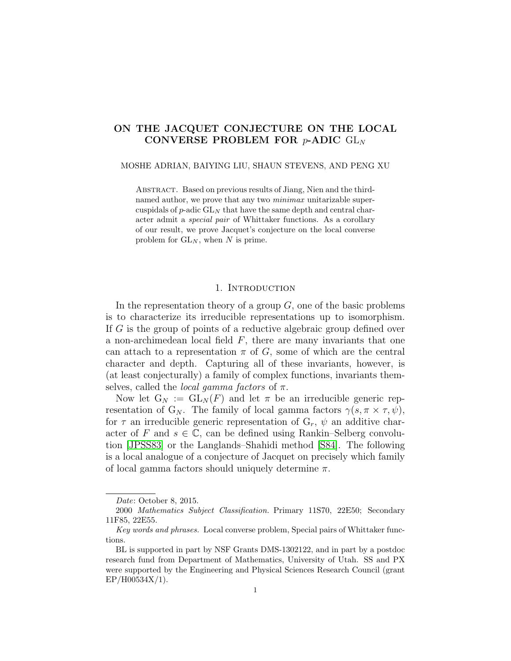# ON THE JACQUET CONJECTURE ON THE LOCAL CONVERSE PROBLEM FOR  $p$ -ADIC  $GL_N$

#### MOSHE ADRIAN, BAIYING LIU, SHAUN STEVENS, AND PENG XU

Abstract. Based on previous results of Jiang, Nien and the thirdnamed author, we prove that any two *minimax* unitarizable supercuspidals of  $p$ -adic  $GL_N$  that have the same depth and central character admit a special pair of Whittaker functions. As a corollary of our result, we prove Jacquet's conjecture on the local converse problem for  $GL_N$ , when N is prime.

# 1. INTRODUCTION

In the representation theory of a group  $G$ , one of the basic problems is to characterize its irreducible representations up to isomorphism. If G is the group of points of a reductive algebraic group defined over a non-archimedean local field  $F$ , there are many invariants that one can attach to a representation  $\pi$  of G, some of which are the central character and depth. Capturing all of these invariants, however, is (at least conjecturally) a family of complex functions, invariants themselves, called the *local gamma factors* of  $\pi$ .

Now let  $G_N := GL_N(F)$  and let  $\pi$  be an irreducible generic representation of G<sub>N</sub>. The family of local gamma factors  $\gamma(s, \pi \times \tau, \psi)$ , for  $\tau$  an irreducible generic representation of  $G_r$ ,  $\psi$  an additive character of F and  $s \in \mathbb{C}$ , can be defined using Rankin–Selberg convolution [\[JPSS83\]](#page-15-0) or the Langlands–Shahidi method [\[S84\]](#page-15-1). The following is a local analogue of a conjecture of Jacquet on precisely which family of local gamma factors should uniquely determine  $\pi$ .

Date: October 8, 2015.

<sup>2000</sup> Mathematics Subject Classification. Primary 11S70, 22E50; Secondary 11F85, 22E55.

Key words and phrases. Local converse problem, Special pairs of Whittaker functions.

BL is supported in part by NSF Grants DMS-1302122, and in part by a postdoc research fund from Department of Mathematics, University of Utah. SS and PX were supported by the Engineering and Physical Sciences Research Council (grant EP/H00534X/1).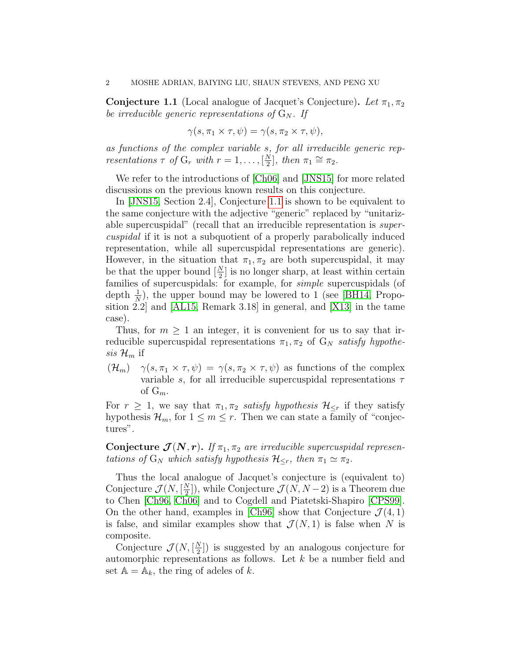<span id="page-1-0"></span>**Conjecture 1.1** (Local analogue of Jacquet's Conjecture). Let  $\pi_1, \pi_2$ be irreducible generic representations of  $G_N$ . If

$$
\gamma(s, \pi_1 \times \tau, \psi) = \gamma(s, \pi_2 \times \tau, \psi),
$$

as functions of the complex variable s, for all irreducible generic representations  $\tau$  of  $G_r$  with  $r = 1, \ldots, \lceil \frac{N}{2} \rceil$  $\frac{\tilde{N}}{2}$ , then  $\pi_1 \cong \pi_2$ .

We refer to the introductions of [\[Ch06\]](#page-14-0) and [\[JNS15\]](#page-15-2) for more related discussions on the previous known results on this conjecture.

In [\[JNS15,](#page-15-2) Section 2.4], Conjecture [1.1](#page-1-0) is shown to be equivalent to the same conjecture with the adjective "generic" replaced by "unitarizable supercuspidal" (recall that an irreducible representation is supercuspidal if it is not a subquotient of a properly parabolically induced representation, while all supercuspidal representations are generic). However, in the situation that  $\pi_1, \pi_2$  are both supercuspidal, it may be that the upper bound  $\left[\frac{N}{2}\right]$  is no longer sharp, at least within certain families of supercuspidals: for example, for simple supercuspidals (of depth  $\frac{1}{N}$ ), the upper bound may be lowered to 1 (see [\[BH14,](#page-14-1) Proposition 2.2] and [\[AL15,](#page-14-2) Remark 3.18] in general, and [\[X13\]](#page-15-3) in the tame case).

Thus, for  $m \geq 1$  an integer, it is convenient for us to say that irreducible supercuspidal representations  $\pi_1, \pi_2$  of  $G_N$  satisfy hypothesis  $\mathcal{H}_m$  if

 $(\mathcal{H}_m)$   $\gamma(s, \pi_1 \times \tau, \psi) = \gamma(s, \pi_2 \times \tau, \psi)$  as functions of the complex variable s, for all irreducible supercuspidal representations  $\tau$ of  $G_m$ .

For  $r \geq 1$ , we say that  $\pi_1, \pi_2$  satisfy hypothesis  $\mathcal{H}_{\leq r}$  if they satisfy hypothesis  $\mathcal{H}_m$ , for  $1 \leq m \leq r$ . Then we can state a family of "conjectures".

Conjecture  $\mathcal{J}(N,r)$ . If  $\pi_1, \pi_2$  are irreducible supercuspidal representations of  $G_N$  which satisfy hypothesis  $\mathcal{H}_{\leq r}$ , then  $\pi_1 \simeq \pi_2$ .

Thus the local analogue of Jacquet's conjecture is (equivalent to) Conjecture  $\mathcal{J}(N, \lceil \frac{N}{2} \rceil)$  $\left(\frac{N}{2}\right)$ , while Conjecture  $\mathcal{J}(N, N-2)$  is a Theorem due to Chen [\[Ch96,](#page-14-3) [Ch06\]](#page-14-0) and to Cogdell and Piatetski-Shapiro [\[CPS99\]](#page-14-4). On the other hand, examples in [\[Ch96\]](#page-14-3) show that Conjecture  $\mathcal{J}(4,1)$ is false, and similar examples show that  $\mathcal{J}(N,1)$  is false when N is composite.

Conjecture  $\mathcal{J}(N, \lceil \frac{N}{2} \rceil)$  $\binom{N}{2}$ ) is suggested by an analogous conjecture for automorphic representations as follows. Let k be a number field and set  $A = A_k$ , the ring of adeles of k.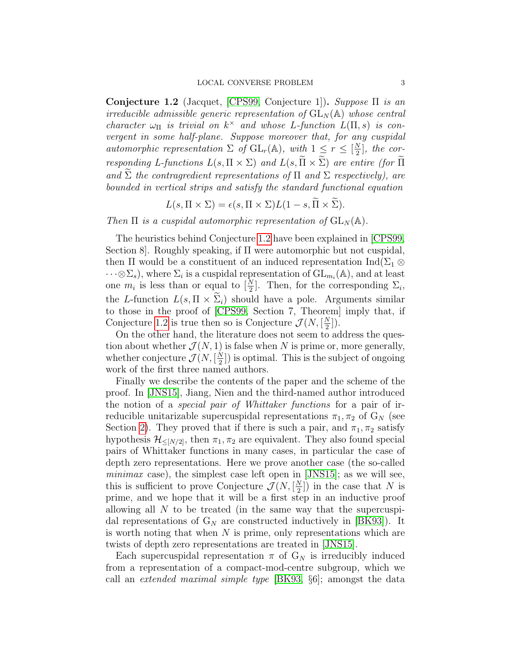<span id="page-2-0"></span>Conjecture 1.2 (Jacquet, [\[CPS99,](#page-14-4) Conjecture 1]). Suppose Π is an irreducible admissible generic representation of  $GL_N(\mathbb{A})$  whose central character  $\omega_{\Pi}$  is trivial on  $k^{\times}$  and whose L-function  $L(\Pi, s)$  is convergent in some half-plane. Suppose moreover that, for any cuspidal automorphic representation  $\Sigma$  of  $GL_r(\mathbb{A})$ , with  $1 \leq r \leq \lfloor \frac{N}{2} \rfloor$  $\frac{N}{2}$ , the corresponding L-functions  $L(s, \Pi \times \Sigma)$  and  $L(s, \widetilde{\Pi} \times \widetilde{\Sigma})$  are entire (for  $\widetilde{\Pi}$ and  $\widetilde{\Sigma}$  the contragredient representations of  $\Pi$  and  $\Sigma$  respectively), are bounded in vertical strips and satisfy the standard functional equation

$$
L(s, \Pi \times \Sigma) = \epsilon(s, \Pi \times \Sigma)L(1-s, \Pi \times \Sigma).
$$

Then  $\Pi$  is a cuspidal automorphic representation of  $GL_N(\mathbb{A})$ .

The heuristics behind Conjecture [1.2](#page-2-0) have been explained in [\[CPS99,](#page-14-4) Section 8]. Roughly speaking, if Π were automorphic but not cuspidal, then  $\Pi$  would be a constituent of an induced representation  $\text{Ind}(\Sigma_1 \otimes$  $\cdots \otimes \Sigma_s$ , where  $\Sigma_i$  is a cuspidal representation of  $\mathrm{GL}_{m_i}(\mathbb{A})$ , and at least one  $m_i$  is less than or equal to  $[\frac{N}{2}]$ . Then, for the corresponding  $\Sigma_i$ , the L-function  $L(s, \Pi \times \tilde{\Sigma}_i)$  should have a pole. Arguments similar to those in the proof of [\[CPS99,](#page-14-4) Section 7, Theorem] imply that, if Conjecture [1.2](#page-2-0) is true then so is Conjecture  $\mathcal{J}(N, \frac{N}{2})$  $\frac{N}{2}$ ]).

On the other hand, the literature does not seem to address the question about whether  $\mathcal{J}(N, 1)$  is false when N is prime or, more generally, whether conjecture  $\mathcal{J}(N, \lceil \frac{N}{2} \rceil)$  $\frac{N}{2}$ ]) is optimal. This is the subject of ongoing work of the first three named authors.

Finally we describe the contents of the paper and the scheme of the proof. In [\[JNS15\]](#page-15-2), Jiang, Nien and the third-named author introduced the notion of a special pair of Whittaker functions for a pair of irreducible unitarizable supercuspidal representations  $\pi_1, \pi_2$  of  $G_N$  (see Section [2\)](#page-4-0). They proved that if there is such a pair, and  $\pi_1, \pi_2$  satisfy hypothesis  $\mathcal{H}_{\leq [N/2]}$ , then  $\pi_1, \pi_2$  are equivalent. They also found special pairs of Whittaker functions in many cases, in particular the case of depth zero representations. Here we prove another case (the so-called *minimax* case), the simplest case left open in [\[JNS15\]](#page-15-2); as we will see, this is sufficient to prove Conjecture  $\mathcal{J}(N, \lceil \frac{N}{2} \rceil)$  $\binom{N}{2}$ ) in the case that N is prime, and we hope that it will be a first step in an inductive proof allowing all  $N$  to be treated (in the same way that the supercuspidal representations of  $G_N$  are constructed inductively in  $|BK93|$ . It is worth noting that when  $N$  is prime, only representations which are twists of depth zero representations are treated in [\[JNS15\]](#page-15-2).

Each supercuspidal representation  $\pi$  of  $G_N$  is irreducibly induced from a representation of a compact-mod-centre subgroup, which we call an extended maximal simple type [\[BK93,](#page-14-5) §6]; amongst the data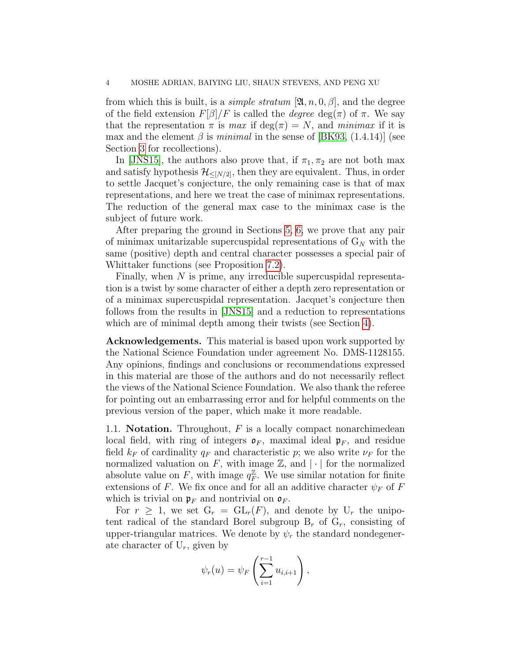from which this is built, is a *simple stratum* [ $\mathfrak{A}, n, 0, \beta$ ], and the degree of the field extension  $F[\beta]/F$  is called the *degree* deg( $\pi$ ) of  $\pi$ . We say that the representation  $\pi$  is max if deg( $\pi$ ) = N, and minimax if it is max and the element  $\beta$  is minimal in the sense of [\[BK93,](#page-14-5) (1.4.14)] (see Section [3](#page-5-0) for recollections).

In [\[JNS15\]](#page-15-2), the authors also prove that, if  $\pi_1, \pi_2$  are not both max and satisfy hypothesis  $\mathcal{H}_{\leq [N/2]}$ , then they are equivalent. Thus, in order to settle Jacquet's conjecture, the only remaining case is that of max representations, and here we treat the case of minimax representations. The reduction of the general max case to the minimax case is the subject of future work.

After preparing the ground in Sections [5,](#page-8-0) [6,](#page-9-0) we prove that any pair of minimax unitarizable supercuspidal representations of  $G_N$  with the same (positive) depth and central character possesses a special pair of Whittaker functions (see Proposition [7.2\)](#page-13-0).

Finally, when  $N$  is prime, any irreducible supercuspidal representation is a twist by some character of either a depth zero representation or of a minimax supercuspidal representation. Jacquet's conjecture then follows from the results in [\[JNS15\]](#page-15-2) and a reduction to representations which are of minimal depth among their twists (see Section [4\)](#page-6-0).

Acknowledgements. This material is based upon work supported by the National Science Foundation under agreement No. DMS-1128155. Any opinions, findings and conclusions or recommendations expressed in this material are those of the authors and do not necessarily reflect the views of the National Science Foundation. We also thank the referee for pointing out an embarrassing error and for helpful comments on the previous version of the paper, which make it more readable.

1.1. **Notation.** Throughout,  $F$  is a locally compact nonarchimedean local field, with ring of integers  $\mathfrak{o}_F$ , maximal ideal  $\mathfrak{p}_F$ , and residue field  $k_F$  of cardinality  $q_F$  and characteristic p; we also write  $\nu_F$  for the normalized valuation on F, with image  $\mathbb{Z}$ , and  $|\cdot|$  for the normalized absolute value on F, with image  $q_F^{\mathbb{Z}}$  $\mathbb{Z}_F^{\mathbb{Z}}$ . We use similar notation for finite extensions of F. We fix once and for all an additive character  $\psi_F$  of F which is trivial on  $\mathfrak{p}_F$  and nontrivial on  $\mathfrak{o}_F$ .

For  $r \geq 1$ , we set  $G_r = GL_r(F)$ , and denote by  $U_r$  the unipotent radical of the standard Borel subgroup  $B_r$  of  $G_r$ , consisting of upper-triangular matrices. We denote by  $\psi_r$  the standard nondegenerate character of  $U_r$ , given by

$$
\psi_r(u) = \psi_F\left(\sum_{i=1}^{r-1} u_{i,i+1}\right),\,
$$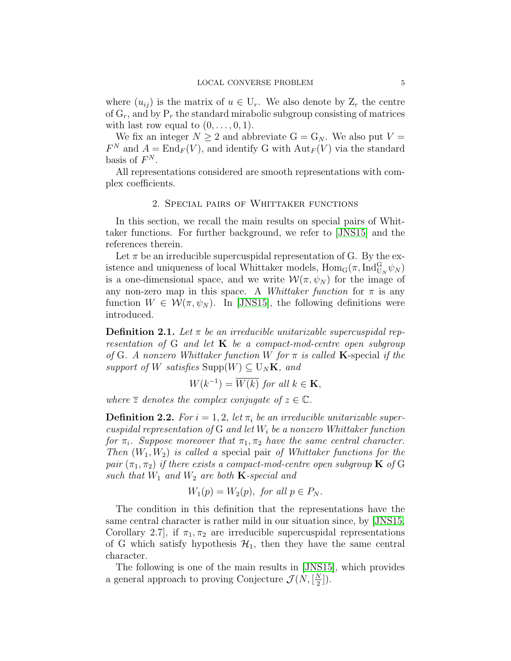where  $(u_{ii})$  is the matrix of  $u \in U_r$ . We also denote by  $Z_r$  the centre of  $G_r$ , and by  $P_r$  the standard mirabolic subgroup consisting of matrices with last row equal to  $(0, \ldots, 0, 1)$ .

We fix an integer  $N \geq 2$  and abbreviate  $G = G_N$ . We also put  $V =$  $F^N$  and  $A = \text{End}_F(V)$ , and identify G with  $\text{Aut}_F(V)$  via the standard basis of  $F^N$ .

All representations considered are smooth representations with complex coefficients.

#### 2. Special pairs of Whittaker functions

<span id="page-4-0"></span>In this section, we recall the main results on special pairs of Whittaker functions. For further background, we refer to [\[JNS15\]](#page-15-2) and the references therein.

Let  $\pi$  be an irreducible supercuspidal representation of G. By the existence and uniqueness of local Whittaker models,  $\text{Hom}_G(\pi, \text{Ind}_{U_N}^G \psi_N)$ is a one-dimensional space, and we write  $\mathcal{W}(\pi, \psi_N)$  for the image of any non-zero map in this space. A Whiteheld function for  $\pi$  is any function  $W \in \mathcal{W}(\pi, \psi_N)$ . In [\[JNS15\]](#page-15-2), the following definitions were introduced.

**Definition 2.1.** Let  $\pi$  be an irreducible unitarizable supercuspidal representation of G and let  $K$  be a compact-mod-centre open subgroup of G. A nonzero Whittaker function W for  $\pi$  is called **K**-special if the support of W satisfies  $\text{Supp}(W) \subseteq U_N\mathbf{K}$ , and

$$
W(k^{-1}) = \overline{W(k)} \text{ for all } k \in \mathbf{K},
$$

where  $\overline{z}$  denotes the complex conjugate of  $z \in \mathbb{C}$ .

**Definition 2.2.** For  $i = 1, 2$ , let  $\pi_i$  be an irreducible unitarizable supercuspidal representation of G and let  $W_i$  be a nonzero Whittaker function for  $\pi_i$ . Suppose moreover that  $\pi_1, \pi_2$  have the same central character. Then  $(W_1, W_2)$  is called a special pair of Whittaker functions for the pair  $(\pi_1, \pi_2)$  if there exists a compact-mod-centre open subgroup **K** of G such that  $W_1$  and  $W_2$  are both **K**-special and

$$
W_1(p) = W_2(p), \text{ for all } p \in P_N.
$$

The condition in this definition that the representations have the same central character is rather mild in our situation since, by [\[JNS15,](#page-15-2) Corollary 2.7, if  $\pi_1, \pi_2$  are irreducible supercuspidal representations of G which satisfy hypothesis  $\mathcal{H}_1$ , then they have the same central character.

The following is one of the main results in [\[JNS15\]](#page-15-2), which provides a general approach to proving Conjecture  $\mathcal{J}(N, \frac{N}{2})$  $\frac{N}{2}$ ]).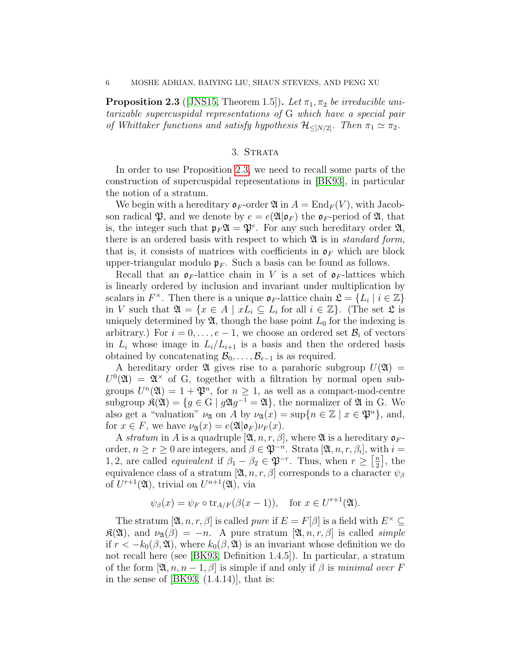<span id="page-5-1"></span>**Proposition 2.3** ([\[JNS15,](#page-15-2) Theorem 1.5]). Let  $\pi_1$ ,  $\pi_2$  be irreducible unitarizable supercuspidal representations of G which have a special pair of Whittaker functions and satisfy hypothesis  $\mathcal{H}_{\leq [N/2]}$ . Then  $\pi_1 \simeq \pi_2$ .

# 3. STRATA

<span id="page-5-0"></span>In order to use Proposition [2.3,](#page-5-1) we need to recall some parts of the construction of supercuspidal representations in [\[BK93\]](#page-14-5), in particular the notion of a stratum.

We begin with a hereditary  $\mathfrak{\sigma}_F$ -order  $\mathfrak{A}$  in  $A = \mathrm{End}_F(V)$ , with Jacobson radical  $\mathfrak{P}$ , and we denote by  $e = e(\mathfrak{A}|\mathfrak{o}_F)$  the  $\mathfrak{o}_F$ -period of  $\mathfrak{A}$ , that is, the integer such that  $\mathfrak{p}_F \mathfrak{A} = \mathfrak{P}^e$ . For any such hereditary order  $\mathfrak{A}$ , there is an ordered basis with respect to which  $\mathfrak{A}$  is in *standard form*, that is, it consists of matrices with coefficients in  $\mathfrak{o}_F$  which are block upper-triangular modulo  $\mathfrak{p}_F$ . Such a basis can be found as follows.

Recall that an  $\mathfrak{o}_F$ -lattice chain in V is a set of  $\mathfrak{o}_F$ -lattices which is linearly ordered by inclusion and invariant under multiplication by scalars in  $F^{\times}$ . Then there is a unique  $\mathfrak{o}_F$ -lattice chain  $\mathfrak{L} = \{L_i \mid i \in \mathbb{Z}\}\$ in V such that  $\mathfrak{A} = \{x \in A \mid xL_i \subseteq L_i \text{ for all } i \in \mathbb{Z}\}\.$  (The set  $\mathfrak{L}$  is uniquely determined by  $\mathfrak{A}$ , though the base point  $L_0$  for the indexing is arbitrary.) For  $i = 0, \ldots, e-1$ , we choose an ordered set  $\mathcal{B}_i$  of vectors in  $L_i$  whose image in  $L_i/L_{i+1}$  is a basis and then the ordered basis obtained by concatenating  $\mathcal{B}_0, \ldots, \mathcal{B}_{e-1}$  is as required.

A hereditary order  $\mathfrak A$  gives rise to a parahoric subgroup  $U(\mathfrak A)$  =  $U^0(\mathfrak{A}) = \mathfrak{A}^{\times}$  of G, together with a filtration by normal open subgroups  $U^n(\mathfrak{A}) = 1 + \mathfrak{P}^n$ , for  $n \geq 1$ , as well as a compact-mod-centre subgroup  $\mathfrak{K}(\mathfrak{A}) = \{ g \in \mathcal{G} \mid g \mathfrak{A} g^{-1} = \mathfrak{A} \},\$  the normalizer of  $\mathfrak{A}$  in G. We also get a "valuation"  $\nu_{\mathfrak{A}}$  on A by  $\nu_{\mathfrak{A}}(x) = \sup\{n \in \mathbb{Z} \mid x \in \mathfrak{P}^n\},\$ and, for  $x \in F$ , we have  $\nu_{\mathfrak{A}}(x) = e(\mathfrak{A}|\mathfrak{o}_F)\nu_F(x)$ .

A stratum in A is a quadruple  $[\mathfrak{A}, n, r, \beta]$ , where  $\mathfrak A$  is a hereditary  $\mathfrak o_F$ order,  $n \ge r \ge 0$  are integers, and  $\beta \in \mathfrak{P}^{-n}$ . Strata  $[\mathfrak{A}, n, r, \beta_i]$ , with  $i =$ 1, 2, are called *equivalent* if  $\beta_1 - \beta_2 \in \mathfrak{P}^{-r}$ . Thus, when  $r \geq \left[\frac{n}{2}\right]$  $\frac{n}{2}$ , the equivalence class of a stratum  $[\mathfrak{A}, n, r, \beta]$  corresponds to a character  $\psi_{\beta}$ of  $U^{r+1}(\mathfrak{A}),$  trivial on  $U^{n+1}(\mathfrak{A}),$  via

$$
\psi_{\beta}(x) = \psi_F \circ \text{tr}_{A/F}(\beta(x-1)), \text{ for } x \in U^{r+1}(\mathfrak{A}).
$$

The stratum  $[\mathfrak{A}, n, r, \beta]$  is called *pure* if  $E = F[\beta]$  is a field with  $E^{\times} \subseteq$  $\mathfrak{K}(\mathfrak{A}),$  and  $\nu_{\mathfrak{A}}(\beta) = -n$ . A pure stratum  $[\mathfrak{A}, n, r, \beta]$  is called *simple* if  $r < -k_0(\beta, \mathfrak{A})$ , where  $k_0(\beta, \mathfrak{A})$  is an invariant whose definition we do not recall here (see [\[BK93,](#page-14-5) Definition 1.4.5]). In particular, a stratum of the form  $[\mathfrak{A}, n, n-1, \beta]$  is simple if and only if  $\beta$  is minimal over F in the sense of  $[BK93, (1.4.14)]$  $[BK93, (1.4.14)]$ , that is: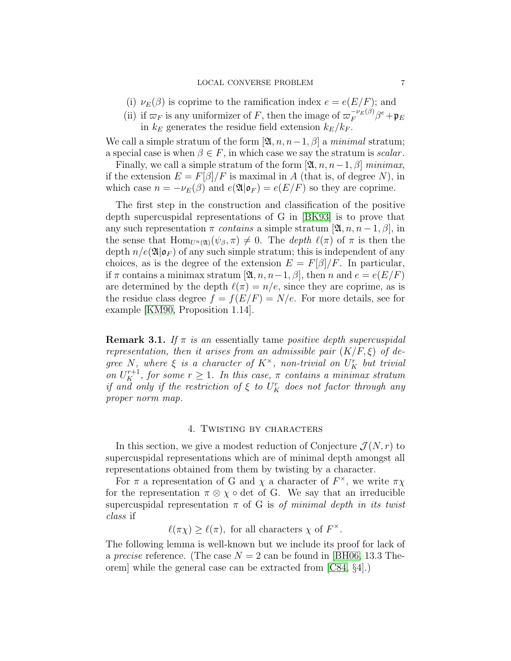- (i)  $\nu_E(\beta)$  is coprime to the ramification index  $e = e(E/F)$ ; and
- (ii) if  $\varpi_F$  is any uniformizer of F, then the image of  $\varpi_F^{-\nu_E(\beta)}\beta^e + \mathfrak{p}_E$ in  $k_E$  generates the residue field extension  $k_E/k_F$ .

We call a simple stratum of the form  $[\mathfrak{A}, n, n-1, \beta]$  a minimal stratum; a special case is when  $\beta \in F$ , in which case we say the stratum is scalar.

Finally, we call a simple stratum of the form  $[\mathfrak{A}, n, n-1, \beta]$  minimax, if the extension  $E = F[\beta]/F$  is maximal in A (that is, of degree N), in which case  $n = -\nu_E(\beta)$  and  $e(\mathfrak{A}|\mathfrak{o}_F) = e(E/F)$  so they are coprime.

The first step in the construction and classification of the positive depth supercuspidal representations of G in [\[BK93\]](#page-14-5) is to prove that any such representation  $\pi$  contains a simple stratum  $[\mathfrak{A}, n, n-1, \beta]$ , in the sense that  $\text{Hom}_{U^{n}(\mathfrak{A})}(\psi_{\beta}, \pi) \neq 0$ . The depth  $\ell(\pi)$  of  $\pi$  is then the depth  $n/e(\mathfrak{A}|\mathfrak{o}_F)$  of any such simple stratum; this is independent of any choices, as is the degree of the extension  $E = F[\beta]/F$ . In particular, if  $\pi$  contains a minimax stratum [ $\mathfrak{A}, n, n-1, \beta$ ], then n and  $e = e(E/F)$ are determined by the depth  $\ell(\pi) = n/e$ , since they are coprime, as is the residue class degree  $f = f(E/F) = N/e$ . For more details, see for example [\[KM90,](#page-15-4) Proposition 1.14].

**Remark 3.1.** If  $\pi$  is an essentially tame positive depth supercuspidal representation, then it arises from an admissible pair  $(K/F, \xi)$  of degree N, where  $\xi$  is a character of  $K^{\times}$ , non-trivial on  $U_K^r$  but trivial on  $U_K^{r+1}$ , for some  $r \geq 1$ . In this case,  $\pi$  contains a minimax stratum if and only if the restriction of  $\xi$  to  $U_K^r$  does not factor through any proper norm map.

## 4. Twisting by characters

<span id="page-6-0"></span>In this section, we give a modest reduction of Conjecture  $\mathcal{J}(N,r)$  to supercuspidal representations which are of minimal depth amongst all representations obtained from them by twisting by a character.

For  $\pi$  a representation of G and  $\chi$  a character of  $F^{\times}$ , we write  $\pi \chi$ for the representation  $\pi \otimes \chi \circ \det \phi$  G. We say that an irreducible supercuspidal representation  $\pi$  of G is *of minimal depth in its twist* class if

 $\ell(\pi \chi) \geq \ell(\pi)$ , for all characters  $\chi$  of  $F^{\times}$ .

The following lemma is well-known but we include its proof for lack of a precise reference. (The case  $N = 2$  can be found in [\[BH06,](#page-14-6) 13.3 Theorem] while the general case can be extracted from [\[C84,](#page-14-7) §4].)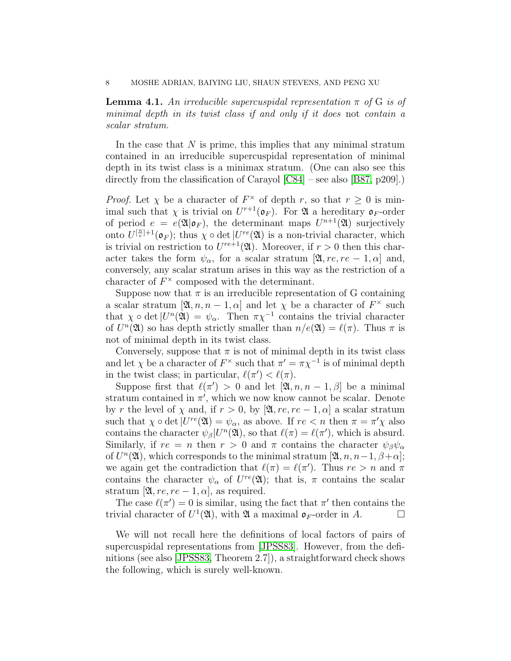**Lemma 4.1.** An irreducible supercuspidal representation  $\pi$  of G is of minimal depth in its twist class if and only if it does not contain a scalar stratum.

In the case that  $N$  is prime, this implies that any minimal stratum contained in an irreducible supercuspidal representation of minimal depth in its twist class is a minimax stratum. (One can also see this directly from the classification of Carayol [\[C84\]](#page-14-7) – see also [\[B87,](#page-14-8) p209].)

*Proof.* Let  $\chi$  be a character of  $F^{\times}$  of depth r, so that  $r \geq 0$  is minimal such that  $\chi$  is trivial on  $U^{r+1}(\mathfrak{o}_F)$ . For  $\mathfrak A$  a hereditary  $\mathfrak{o}_F$ -order of period  $e = e(\mathfrak{A}|\mathfrak{o}_F)$ , the determinant maps  $U^{n+1}(\mathfrak{A})$  surjectively onto  $U^{[\frac{n}{e}]+1}(\mathfrak{o}_F);$  thus  $\chi \circ \det |U^{re}(\mathfrak{A})|$  is a non-trivial character, which is trivial on restriction to  $U^{re+1}(\mathfrak{A})$ . Moreover, if  $r > 0$  then this character takes the form  $\psi_{\alpha}$ , for a scalar stratum [ $\mathfrak{A}, re, re-1, \alpha$ ] and, conversely, any scalar stratum arises in this way as the restriction of a character of  $F^{\times}$  composed with the determinant.

Suppose now that  $\pi$  is an irreducible representation of G containing a scalar stratum  $[\mathfrak{A}, n, n-1, \alpha]$  and let  $\chi$  be a character of  $F^{\times}$  such that  $\chi \circ \det |U^n(\mathfrak{A})| = \psi_\alpha$ . Then  $\pi \chi^{-1}$  contains the trivial character of  $U^n(\mathfrak{A})$  so has depth strictly smaller than  $n/e(\mathfrak{A}) = \ell(\pi)$ . Thus  $\pi$  is not of minimal depth in its twist class.

Conversely, suppose that  $\pi$  is not of minimal depth in its twist class and let  $\chi$  be a character of  $F^{\times}$  such that  $\pi' = \pi \chi^{-1}$  is of minimal depth in the twist class; in particular,  $\ell(\pi') < \ell(\pi)$ .

Suppose first that  $\ell(\pi') > 0$  and let  $[\mathfrak{A}, n, n-1, \beta]$  be a minimal stratum contained in  $\pi'$ , which we now know cannot be scalar. Denote by r the level of  $\chi$  and, if  $r > 0$ , by  $[\mathfrak{A}, re, re-1, \alpha]$  a scalar stratum such that  $\chi \circ \det |U^{re}(\mathfrak{A}) = \psi_{\alpha}$ , as above. If  $re < n$  then  $\pi = \pi' \chi$  also contains the character  $\psi_{\beta} | U^{n}(\mathfrak{A}),$  so that  $\ell(\pi) = \ell(\pi')$ , which is absurd. Similarly, if  $re = n$  then  $r > 0$  and  $\pi$  contains the character  $\psi_{\beta}\psi_{\alpha}$ of  $U^{n}(\mathfrak{A})$ , which corresponds to the minimal stratum  $[\mathfrak{A}, n, n-1, \beta+\alpha]$ ; we again get the contradiction that  $\ell(\pi) = \ell(\pi')$ . Thus  $re > n$  and  $\pi$ contains the character  $\psi_{\alpha}$  of  $U^{re}(\mathfrak{A})$ ; that is,  $\pi$  contains the scalar stratum [ $\mathfrak{A}, re, re-1, \alpha$ ], as required.

The case  $\ell(\pi') = 0$  is similar, using the fact that  $\pi'$  then contains the trivial character of  $U^1(\mathfrak{A})$ , with  $\mathfrak{A}$  a maximal  $\mathfrak{o}_F$ -order in A.

We will not recall here the definitions of local factors of pairs of supercuspidal representations from [\[JPSS83\]](#page-15-0). However, from the definitions (see also [\[JPSS83,](#page-15-0) Theorem 2.7]), a straightforward check shows the following, which is surely well-known.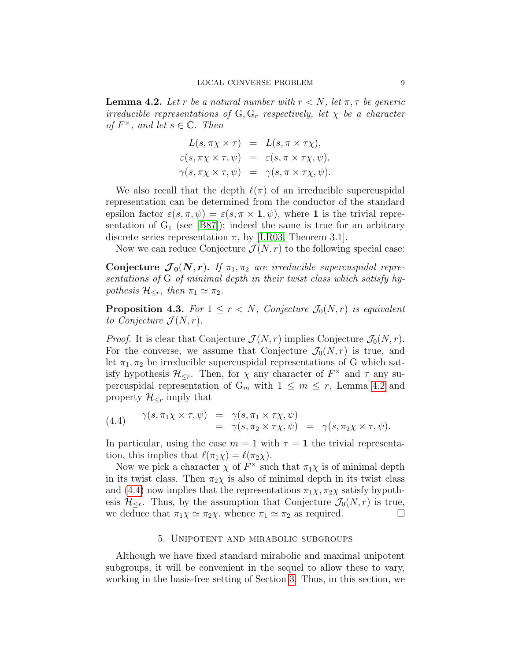<span id="page-8-1"></span>**Lemma 4.2.** Let r be a natural number with  $r < N$ , let  $\pi, \tau$  be generic irreducible representations of  $G, G_r$  respectively, let  $\chi$  be a character of  $F^{\times}$ , and let  $s \in \mathbb{C}$ . Then

$$
L(s, \pi \chi \times \tau) = L(s, \pi \times \tau \chi),
$$
  
\n
$$
\varepsilon(s, \pi \chi \times \tau, \psi) = \varepsilon(s, \pi \times \tau \chi, \psi),
$$
  
\n
$$
\gamma(s, \pi \chi \times \tau, \psi) = \gamma(s, \pi \times \tau \chi, \psi).
$$

We also recall that the depth  $\ell(\pi)$  of an irreducible supercuspidal representation can be determined from the conductor of the standard epsilon factor  $\varepsilon(s, \pi, \psi) = \varepsilon(s, \pi \times \mathbf{1}, \psi)$ , where 1 is the trivial representation of  $G_1$  (see [\[B87\]](#page-14-8)); indeed the same is true for an arbitrary discrete series representation  $\pi$ , by [\[LR03,](#page-15-5) Theorem 3.1].

Now we can reduce Conjecture  $\mathcal{J}(N,r)$  to the following special case:

Conjecture  $\mathcal{J}_0(N,r)$ . If  $\pi_1, \pi_2$  are irreducible supercuspidal representations of G of minimal depth in their twist class which satisfy hypothesis  $\mathcal{H}_{\leq r}$ , then  $\pi_1 \simeq \pi_2$ .

<span id="page-8-3"></span>**Proposition 4.3.** For  $1 \leq r < N$ , Conjecture  $\mathcal{J}_0(N,r)$  is equivalent to Conjecture  $\mathcal{J}(N,r)$ .

*Proof.* It is clear that Conjecture  $\mathcal{J}(N,r)$  implies Conjecture  $\mathcal{J}_0(N,r)$ . For the converse, we assume that Conjecture  $\mathcal{J}_0(N,r)$  is true, and let  $\pi_1, \pi_2$  be irreducible supercuspidal representations of G which satisfy hypothesis  $\mathcal{H}_{\leq r}$ . Then, for  $\chi$  any character of  $F^{\times}$  and  $\tau$  any supercuspidal representation of  $G_m$  with  $1 \leq m \leq r$ , Lemma [4.2](#page-8-1) and property  $\mathcal{H}_{\leq r}$  imply that

<span id="page-8-2"></span>(4.4) 
$$
\gamma(s, \pi_1 \chi \times \tau, \psi) = \gamma(s, \pi_1 \times \tau \chi, \psi) = \gamma(s, \pi_2 \times \tau \chi, \psi) = \gamma(s, \pi_2 \chi \times \tau, \psi).
$$

In particular, using the case  $m = 1$  with  $\tau = 1$  the trivial representation, this implies that  $\ell(\pi_1\chi) = \ell(\pi_2\chi)$ .

Now we pick a character  $\chi$  of  $F^{\times}$  such that  $\pi_1\chi$  is of minimal depth in its twist class. Then  $\pi_2 \chi$  is also of minimal depth in its twist class and [\(4.4\)](#page-8-2) now implies that the representations  $\pi_1 \chi$ ,  $\pi_2 \chi$  satisfy hypothesis  $\mathcal{H}_{\leq r}$ . Thus, by the assumption that Conjecture  $\mathcal{J}_0(N,r)$  is true, we deduce that  $\pi_1 \chi \simeq \pi_2 \chi$ , whence  $\pi_1 \simeq \pi_2$  as required.

#### 5. Unipotent and mirabolic subgroups

<span id="page-8-0"></span>Although we have fixed standard mirabolic and maximal unipotent subgroups, it will be convenient in the sequel to allow these to vary, working in the basis-free setting of Section [3.](#page-5-0) Thus, in this section, we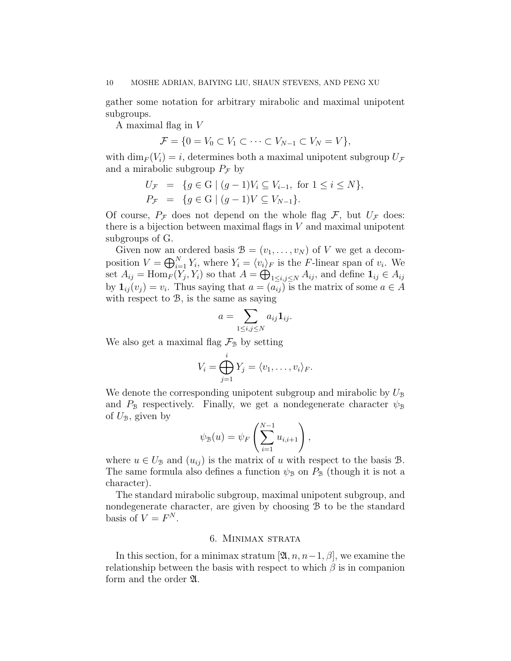gather some notation for arbitrary mirabolic and maximal unipotent subgroups.

A maximal flag in V

$$
\mathcal{F} = \{0 = V_0 \subset V_1 \subset \cdots \subset V_{N-1} \subset V_N = V\},\
$$

with  $\dim_F (V_i) = i$ , determines both a maximal unipotent subgroup  $U_{\mathcal{F}}$ and a mirabolic subgroup  $P_{\mathcal{F}}$  by

$$
U_{\mathcal{F}} = \{ g \in G \mid (g - 1)V_i \subseteq V_{i-1}, \text{ for } 1 \le i \le N \},
$$
  

$$
P_{\mathcal{F}} = \{ g \in G \mid (g - 1)V \subseteq V_{N-1} \}.
$$

Of course,  $P_{\mathcal{F}}$  does not depend on the whole flag  $\mathcal{F}$ , but  $U_{\mathcal{F}}$  does: there is a bijection between maximal flags in  $V$  and maximal unipotent subgroups of G.

Given now an ordered basis  $\mathcal{B} = (v_1, \ldots, v_N)$  of V we get a decomposition  $V = \bigoplus_{i=1}^{N} Y_i$ , where  $Y_i = \langle v_i \rangle_F$  is the F-linear span of  $v_i$ . We set  $A_{ij} = \text{Hom}_F(Y_j, Y_i)$  so that  $A = \bigoplus_{1 \le i,j \le N} A_{ij}$ , and define  $\mathbf{1}_{ij} \in A_{ij}$ by  $\mathbf{1}_{ij}(v_j) = v_i$ . Thus saying that  $a = (a_{ij})$  is the matrix of some  $a \in A$ with respect to  $\mathcal{B}$ , is the same as saying

$$
a=\sum_{1\leq i,j\leq N}a_{ij}\mathbf{1}_{ij}.
$$

We also get a maximal flag  $\mathcal{F}_{\mathcal{B}}$  by setting

$$
V_i = \bigoplus_{j=1}^i Y_j = \langle v_1, \dots, v_i \rangle_F.
$$

We denote the corresponding unipotent subgroup and mirabolic by  $U_{\mathcal{B}}$ and  $P_{\mathcal{B}}$  respectively. Finally, we get a nondegenerate character  $\psi_{\mathcal{B}}$ of  $U_{\mathcal{B}}$ , given by

$$
\psi_{\mathcal{B}}(u) = \psi_F\left(\sum_{i=1}^{N-1} u_{i,i+1}\right),\,
$$

where  $u \in U_{\mathcal{B}}$  and  $(u_{ij})$  is the matrix of u with respect to the basis  $\mathcal{B}$ . The same formula also defines a function  $\psi_{\mathcal{B}}$  on  $P_{\mathcal{B}}$  (though it is not a character).

The standard mirabolic subgroup, maximal unipotent subgroup, and nondegenerate character, are given by choosing B to be the standard basis of  $V = F^N$ .

# 6. Minimax strata

<span id="page-9-0"></span>In this section, for a minimax stratum [ $\mathfrak{A}, n, n-1, \beta$ ], we examine the relationship between the basis with respect to which  $\beta$  is in companion form and the order  $\mathfrak{A}$ .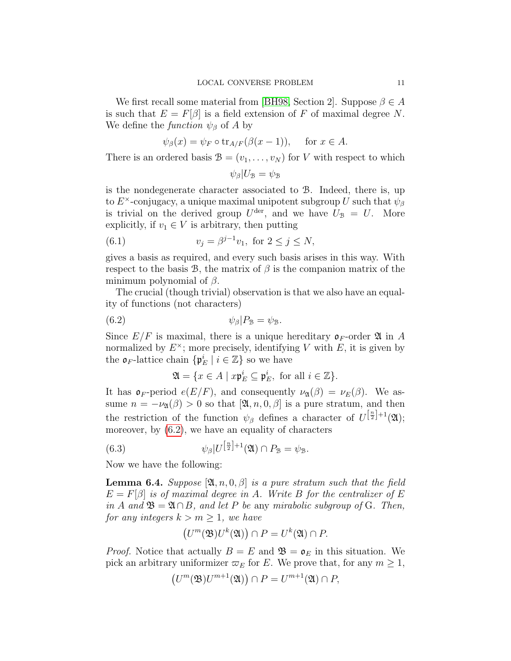We first recall some material from [\[BH98,](#page-14-9) Section 2]. Suppose  $\beta \in A$ is such that  $E = F[\beta]$  is a field extension of F of maximal degree N. We define the *function*  $\psi_{\beta}$  of A by

$$
\psi_{\beta}(x) = \psi_F \circ \text{tr}_{A/F}(\beta(x-1)), \text{ for } x \in A.
$$

There is an ordered basis  $\mathcal{B} = (v_1, \ldots, v_N)$  for V with respect to which

<span id="page-10-1"></span>
$$
\psi_\beta|U_{\mathcal{B}}=\psi_{\mathcal{B}}
$$

is the nondegenerate character associated to B. Indeed, there is, up to  $E^{\times}$ -conjugacy, a unique maximal unipotent subgroup U such that  $\psi_{\beta}$ is trivial on the derived group  $U^{\text{der}}$ , and we have  $U_{\mathcal{B}} = U$ . More explicitly, if  $v_1 \in V$  is arbitrary, then putting

(6.1) 
$$
v_j = \beta^{j-1} v_1, \text{ for } 2 \le j \le N,
$$

gives a basis as required, and every such basis arises in this way. With respect to the basis B, the matrix of  $\beta$  is the companion matrix of the minimum polynomial of  $\beta$ .

The crucial (though trivial) observation is that we also have an equality of functions (not characters)

$$
\psi_{\beta}|P_{\mathcal{B}} = \psi_{\mathcal{B}}.
$$

Since  $E/F$  is maximal, there is a unique hereditary  $\mathfrak{\sigma}_F$ -order  $\mathfrak A$  in A normalized by  $E^{\times}$ ; more precisely, identifying V with E, it is given by the  $\mathfrak{o}_F$ -lattice chain  $\{\mathfrak{p}_E^i \mid i \in \mathbb{Z}\}$  so we have

<span id="page-10-3"></span><span id="page-10-0"></span>
$$
\mathfrak{A} = \{ x \in A \mid x \mathfrak{p}_E^i \subseteq \mathfrak{p}_E^i, \text{ for all } i \in \mathbb{Z} \}.
$$

It has  $\mathfrak{o}_F$ -period  $e(E/F)$ , and consequently  $\nu_{\mathfrak{A}}(\beta) = \nu_E(\beta)$ . We assume  $n = -\nu_{\mathfrak{A}}(\beta) > 0$  so that  $[\mathfrak{A}, n, 0, \beta]$  is a pure stratum, and then the restriction of the function  $\psi_{\beta}$  defines a character of  $U^{\left[\frac{n}{2}\right]+1}(\mathfrak{A});$ moreover, by [\(6.2\)](#page-10-0), we have an equality of characters

(6.3) 
$$
\psi_{\beta}|U^{\left[\frac{n}{2}\right]+1}(\mathfrak{A})\cap P_{\mathfrak{B}}=\psi_{\mathfrak{B}}.
$$

Now we have the following:

<span id="page-10-2"></span>**Lemma 6.4.** Suppose  $[\mathfrak{A}, n, 0, \beta]$  is a pure stratum such that the field  $E = F[\beta]$  is of maximal degree in A. Write B for the centralizer of E in A and  $\mathfrak{B} = \mathfrak{A} \cap B$ , and let P be any mirabolic subgroup of G. Then, for any integers  $k > m \geq 1$ , we have

$$
(U^m(\mathfrak{B})U^k(\mathfrak{A})) \cap P = U^k(\mathfrak{A}) \cap P.
$$

*Proof.* Notice that actually  $B = E$  and  $\mathfrak{B} = \mathfrak{o}_E$  in this situation. We pick an arbitrary uniformizer  $\varpi_E$  for E. We prove that, for any  $m \geq 1$ ,

$$
(U^m(\mathfrak{B})U^{m+1}(\mathfrak{A})) \cap P = U^{m+1}(\mathfrak{A}) \cap P,
$$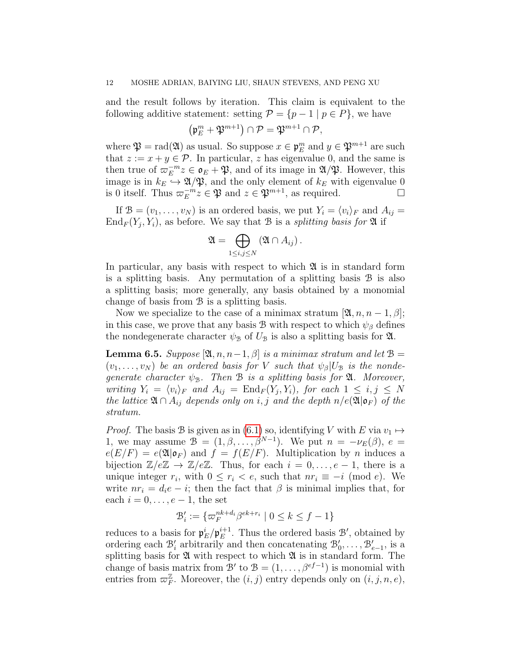and the result follows by iteration. This claim is equivalent to the following additive statement: setting  $P = \{p-1 \mid p \in P\}$ , we have

$$
\left(\mathfrak{p}_{E}^{m}+\mathfrak{P}^{m+1}\right)\cap\mathcal{P}=\mathfrak{P}^{m+1}\cap\mathcal{P},
$$

where  $\mathfrak{P} = \text{rad}(\mathfrak{A})$  as usual. So suppose  $x \in \mathfrak{p}_E^m$  and  $y \in \mathfrak{P}^{m+1}$  are such that  $z := x + y \in \mathcal{P}$ . In particular, z has eigenvalue 0, and the same is then true of  $\varpi_E^{-m}$  $E^{-m}z \in \mathfrak{o}_E + \mathfrak{P}$ , and of its image in  $\mathfrak{A}/\mathfrak{P}$ . However, this image is in  $k_E \hookrightarrow \mathfrak{A}/\mathfrak{P}$ , and the only element of  $k_E$  with eigenvalue 0 is 0 itself. Thus  $\varpi_E^{-m}$  $\mathbb{E}^{-m} z \in \mathfrak{P}$  and  $z \in \mathfrak{P}^{m+1}$ , as required.

If  $\mathcal{B} = (v_1, \ldots, v_N)$  is an ordered basis, we put  $Y_i = \langle v_i \rangle_F$  and  $A_{ij} =$  $\text{End}_F(Y_j, Y_i)$ , as before. We say that B is a *splitting basis for*  $\mathfrak A$  if

$$
\mathfrak{A} = \bigoplus_{1 \leq i,j \leq N} (\mathfrak{A} \cap A_{ij}).
$$

In particular, any basis with respect to which  $\mathfrak A$  is in standard form is a splitting basis. Any permutation of a splitting basis B is also a splitting basis; more generally, any basis obtained by a monomial change of basis from B is a splitting basis.

Now we specialize to the case of a minimax stratum  $[\mathfrak{A}, n, n-1, \beta];$ in this case, we prove that any basis B with respect to which  $\psi_{\beta}$  defines the nondegenerate character  $\psi_{\mathcal{B}}$  of  $U_{\mathcal{B}}$  is also a splitting basis for  $\mathfrak{A}$ .

<span id="page-11-0"></span>**Lemma 6.5.** Suppose  $[\mathfrak{A}, n, n-1, \beta]$  is a minimax stratum and let  $\mathfrak{B} =$  $(v_1, \ldots, v_N)$  be an ordered basis for V such that  $\psi_\beta|U_\beta$  is the nondegenerate character  $\psi_{\mathcal{B}}$ . Then B is a splitting basis for  $\mathfrak{A}$ . Moreover, writing  $Y_i = \langle v_i \rangle_F$  and  $A_{ij} = \text{End}_F(Y_j, Y_i)$ , for each  $1 \leq i, j \leq N$ the lattice  $\mathfrak{A} \cap A_{ij}$  depends only on i, j and the depth  $n/e(\mathfrak{A}|\mathfrak{o}_F)$  of the stratum.

*Proof.* The basis B is given as in [\(6.1\)](#page-10-1) so, identifying V with E via  $v_1 \mapsto$ 1, we may assume  $\mathcal{B} = (1, \beta, \dots, \beta^{N-1})$ . We put  $n = -\nu_E(\beta)$ ,  $e =$  $e(E/F) = e(\mathfrak{A}|\mathfrak{o}_F)$  and  $f = f(E/F)$ . Multiplication by *n* induces a bijection  $\mathbb{Z}/e\mathbb{Z} \to \mathbb{Z}/e\mathbb{Z}$ . Thus, for each  $i = 0, \ldots, e-1$ , there is a unique integer  $r_i$ , with  $0 \leq r_i < e$ , such that  $nr_i \equiv -i \pmod{e}$ . We write  $nr_i = d_i e - i$ ; then the fact that  $\beta$  is minimal implies that, for each  $i = 0, \ldots, e-1$ , the set

$$
\mathcal{B}'_i := \{ \varpi_F^{nk+d_i} \beta^{ek+r_i} \mid 0 \le k \le f-1 \}
$$

reduces to a basis for  $\mathfrak{p}_E^i / \mathfrak{p}_E^{i+1}$  $E^{i+1}$ . Thus the ordered basis  $\mathcal{B}'$ , obtained by ordering each  $\mathcal{B}'_i$  arbitrarily and then concatenating  $\mathcal{B}'_0, \ldots, \mathcal{B}'_{e-1}$ , is a splitting basis for  $\mathfrak A$  with respect to which  $\mathfrak A$  is in standard form. The change of basis matrix from  $\mathcal{B}'$  to  $\mathcal{B} = (1, \ldots, \beta^{ef-1})$  is monomial with entries from  $\varpi_F^{\mathbb{Z}}$ . Moreover, the  $(i, j)$  entry depends only on  $(i, j, n, e)$ ,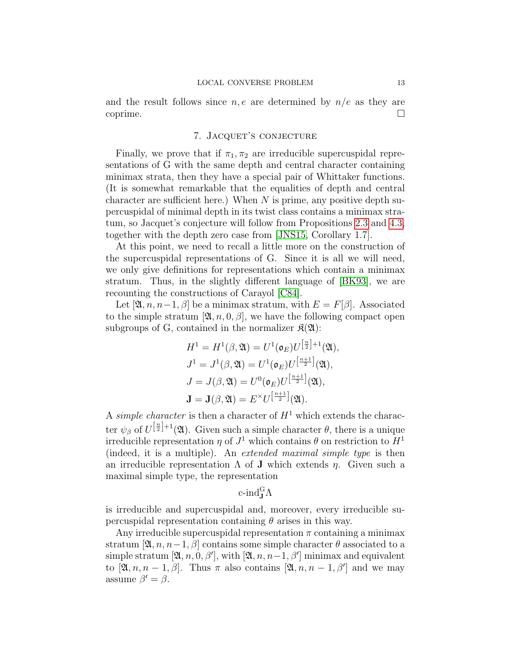and the result follows since  $n, e$  are determined by  $n/e$  as they are  $\Box$ coprime.

# 7. JACQUET'S CONJECTURE

Finally, we prove that if  $\pi_1, \pi_2$  are irreducible supercuspidal representations of G with the same depth and central character containing minimax strata, then they have a special pair of Whittaker functions. (It is somewhat remarkable that the equalities of depth and central character are sufficient here.) When  $N$  is prime, any positive depth supercuspidal of minimal depth in its twist class contains a minimax stratum, so Jacquet's conjecture will follow from Propositions [2.3](#page-5-1) and [4.3,](#page-8-3) together with the depth zero case from [\[JNS15,](#page-15-2) Corollary 1.7].

At this point, we need to recall a little more on the construction of the supercuspidal representations of G. Since it is all we will need, we only give definitions for representations which contain a minimax stratum. Thus, in the slightly different language of [\[BK93\]](#page-14-5), we are recounting the constructions of Carayol [\[C84\]](#page-14-7).

Let  $[\mathfrak{A}, n, n-1, \beta]$  be a minimax stratum, with  $E = F[\beta]$ . Associated to the simple stratum [ $\mathfrak{A}, n, 0, \beta$ ], we have the following compact open subgroups of G, contained in the normalizer  $\mathfrak{K}(\mathfrak{A})$ :

$$
H1 = H1(\beta, \mathfrak{A}) = U1(\mathfrak{o}_E)U^{\left[\frac{n}{2}\right]+1}(\mathfrak{A}),
$$
  
\n
$$
J1 = J1(\beta, \mathfrak{A}) = U1(\mathfrak{o}_E)U^{\left[\frac{n+1}{2}\right]}(\mathfrak{A}),
$$
  
\n
$$
J = J(\beta, \mathfrak{A}) = U0(\mathfrak{o}_E)U^{\left[\frac{n+1}{2}\right]}(\mathfrak{A}),
$$
  
\n
$$
\mathbf{J} = \mathbf{J}(\beta, \mathfrak{A}) = E\timesU^{\left[\frac{n+1}{2}\right]}(\mathfrak{A}).
$$

A simple character is then a character of  $H<sup>1</sup>$  which extends the character  $\psi_{\beta}$  of  $U^{\left[\frac{n}{2}\right]+1}(\mathfrak{A})$ . Given such a simple character  $\theta$ , there is a unique irreducible representation  $\eta$  of  $J^1$  which contains  $\theta$  on restriction to  $H^1$ (indeed, it is a multiple). An extended maximal simple type is then an irreducible representation  $\Lambda$  of **J** which extends  $\eta$ . Given such a maximal simple type, the representation

# c-ind ${}_{\bf J}^{\rm G}\Lambda$

is irreducible and supercuspidal and, moreover, every irreducible supercuspidal representation containing  $\theta$  arises in this way.

Any irreducible supercuspidal representation  $\pi$  containing a minimax stratum  $[\mathfrak{A}, n, n-1, \beta]$  contains some simple character  $\theta$  associated to a simple stratum  $[\mathfrak{A}, n, 0, \beta'],$  with  $[\mathfrak{A}, n, n-1, \beta']$  minimax and equivalent to  $[\mathfrak{A}, n, n-1, \beta]$ . Thus  $\pi$  also contains  $[\mathfrak{A}, n, n-1, \beta']$  and we may assume  $\beta' = \beta$ .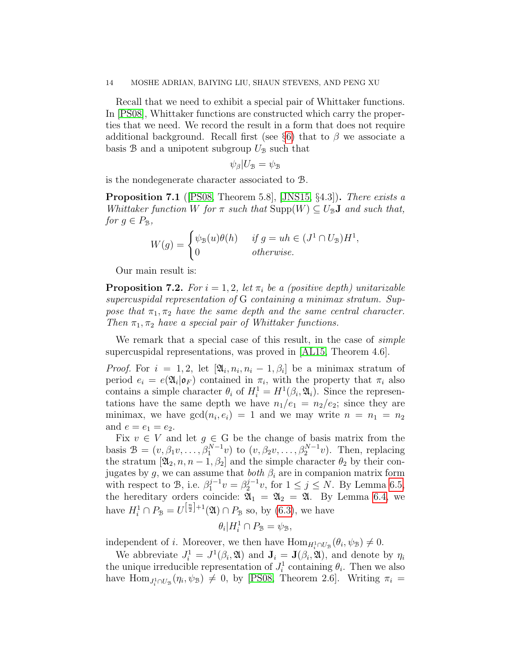#### 14 MOSHE ADRIAN, BAIYING LIU, SHAUN STEVENS, AND PENG XU

Recall that we need to exhibit a special pair of Whittaker functions. In [\[PS08\]](#page-15-6), Whittaker functions are constructed which carry the properties that we need. We record the result in a form that does not require additional background. Recall first (see §[6\)](#page-9-0) that to  $\beta$  we associate a basis  $\mathcal{B}$  and a unipotent subgroup  $U_{\mathcal{B}}$  such that

$$
\psi_{\beta}|U_{\mathcal{B}}=\psi_{\mathcal{B}}
$$

is the nondegenerate character associated to B.

<span id="page-13-1"></span>Proposition 7.1 ([\[PS08,](#page-15-6) Theorem 5.8], [\[JNS15,](#page-15-2) §4.3]). There exists a Whittaker function W for  $\pi$  such that  $\text{Supp}(W) \subseteq U_{\mathcal{B}}$  and such that, for  $q \in P_{\mathcal{B}}$ ,

$$
W(g) = \begin{cases} \psi_{\mathcal{B}}(u)\theta(h) & \text{if } g = uh \in (J^1 \cap U_{\mathcal{B}})H^1, \\ 0 & \text{otherwise.} \end{cases}
$$

Our main result is:

<span id="page-13-0"></span>**Proposition 7.2.** For  $i = 1, 2$ , let  $\pi_i$  be a (positive depth) unitarizable supercuspidal representation of G containing a minimax stratum. Suppose that  $\pi_1, \pi_2$  have the same depth and the same central character. Then  $\pi_1, \pi_2$  have a special pair of Whittaker functions.

We remark that a special case of this result, in the case of *simple* supercuspidal representations, was proved in [\[AL15,](#page-14-2) Theorem 4.6].

*Proof.* For  $i = 1, 2$ , let  $[\mathfrak{A}_i, n_i, n_i - 1, \beta_i]$  be a minimax stratum of period  $e_i = e(\mathfrak{A}_i | \mathfrak{o}_F)$  contained in  $\pi_i$ , with the property that  $\pi_i$  also contains a simple character  $\theta_i$  of  $H_i^1 = H^1(\beta_i, \mathfrak{A}_i)$ . Since the representations have the same depth we have  $n_1/e_1 = n_2/e_2$ ; since they are minimax, we have  $gcd(n_i, e_i) = 1$  and we may write  $n = n_1 = n_2$ and  $e = e_1 = e_2$ .

Fix  $v \in V$  and let  $g \in G$  be the change of basis matrix from the basis  $\mathcal{B} = (v, \beta_1 v, \dots, \beta_1^{N-1} v)$  to  $(v, \beta_2 v, \dots, \beta_2^{N-1} v)$ . Then, replacing the stratum  $[\mathfrak{A}_2, n, n-1, \beta_2]$  and the simple character  $\theta_2$  by their conjugates by g, we can assume that both  $\beta_i$  are in companion matrix form with respect to B, i.e.  $\beta_1^{j-1}$  $j^{-1}v = \beta_2^{j-1}$  $j^{-1}v$ , for  $1 \leq j \leq N$ . By Lemma [6.5,](#page-11-0) the hereditary orders coincide:  $\mathfrak{A}_1 = \mathfrak{A}_2 = \mathfrak{A}$ . By Lemma [6.4,](#page-10-2) we have  $H_i^1 \cap P_{\mathcal{B}} = U^{\left[\frac{n}{2}\right]+1}(\mathfrak{A}) \cap P_{\mathcal{B}}$  so, by [\(6.3\)](#page-10-3), we have

$$
\theta_i|H_i^1 \cap P_{\mathcal{B}} = \psi_{\mathcal{B}},
$$

independent of *i*. Moreover, we then have  $\text{Hom}_{H_i^1 \cap U_{\mathcal{B}}}(\theta_i, \psi_{\mathcal{B}}) \neq 0$ .

We abbreviate  $J_i^1 = J^1(\beta_i, \mathfrak{A})$  and  $\mathbf{J}_i = \mathbf{J}(\beta_i, \mathfrak{A})$ , and denote by  $\eta_i$ the unique irreducible representation of  $J_i^1$  containing  $\theta_i$ . Then we also have  $\text{Hom}_{J_i^1 \cap U_{\mathcal{B}}}(\eta_i, \psi_{\mathcal{B}}) \neq 0$ , by [\[PS08,](#page-15-6) Theorem 2.6]. Writing  $\pi_i =$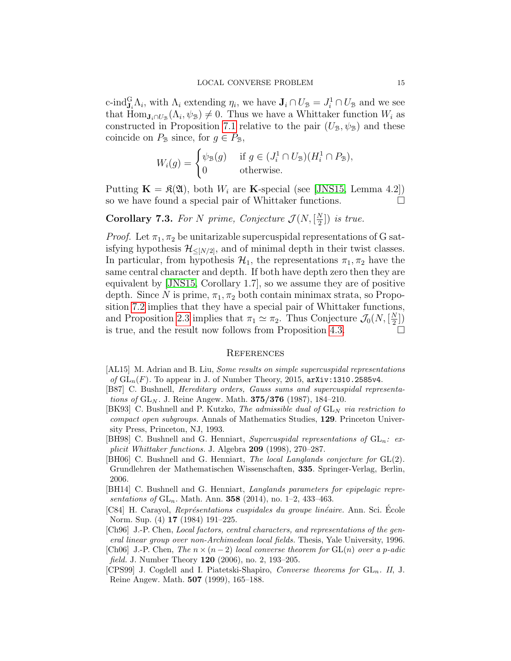c-ind $\mathcal{G}_{\mathbf{J}_i}$   $\Lambda_i$ , with  $\Lambda_i$  extending  $\eta_i$ , we have  $\mathbf{J}_i \cap U_{\mathcal{B}} = J_i^1 \cap U_{\mathcal{B}}$  and we see that  $\text{Hom}_{\mathbf{J}_i \cap U_{\mathcal{B}}}(A_i, \psi_{\mathcal{B}}) \neq 0$ . Thus we have a Whittaker function  $W_i$  as constructed in Proposition [7.1](#page-13-1) relative to the pair  $(U_{\mathcal{B}}, \psi_{\mathcal{B}})$  and these coincide on  $P_{\mathcal{B}}$  since, for  $g \in P_{\mathcal{B}}$ ,

$$
W_i(g) = \begin{cases} \psi_{\mathcal{B}}(g) & \text{if } g \in (J_i^1 \cap U_{\mathcal{B}})(H_i^1 \cap P_{\mathcal{B}}), \\ 0 & \text{otherwise.} \end{cases}
$$

Putting  $\mathbf{K} = \mathfrak{K}(\mathfrak{A})$ , both  $W_i$  are **K**-special (see [\[JNS15,](#page-15-2) Lemma 4.2]) so we have found a special pair of Whittaker functions.

#### **Corollary 7.3.** For N prime, Conjecture  $\mathcal{J}(N, \frac{N}{2})$  $\frac{N}{2}$ ) is true.

*Proof.* Let  $\pi_1, \pi_2$  be unitarizable supercuspidal representations of G satisfying hypothesis  $\mathcal{H}_{\leq [N/2]}$ , and of minimal depth in their twist classes. In particular, from hypothesis  $\mathcal{H}_1$ , the representations  $\pi_1, \pi_2$  have the same central character and depth. If both have depth zero then they are equivalent by [\[JNS15,](#page-15-2) Corollary 1.7], so we assume they are of positive depth. Since N is prime,  $\pi_1, \pi_2$  both contain minimax strata, so Proposition [7.2](#page-13-0) implies that they have a special pair of Whittaker functions, and Proposition [2.3](#page-5-1) implies that  $\pi_1 \simeq \pi_2$ . Thus Conjecture  $\mathcal{J}_0(N, [\frac{N}{2}$  $\frac{N}{2}$ ) is true, and the result now follows from Proposition [4.3.](#page-8-3)

### **REFERENCES**

- <span id="page-14-2"></span>[AL15] M. Adrian and B. Liu, *Some results on simple supercuspidal representations* of  $GL_n(F)$ . To appear in J. of Number Theory, 2015,  $arXiv:1310.2585v4$ .
- <span id="page-14-8"></span>[B87] C. Bushnell, Hereditary orders, Gauss sums and supercuspidal representations of  $GL_N$ . J. Reine Angew. Math. **375/376** (1987), 184–210.
- <span id="page-14-5"></span>[BK93] C. Bushnell and P. Kutzko, The admissible dual of  $GL_N$  via restriction to compact open subgroups. Annals of Mathematics Studies, 129. Princeton University Press, Princeton, NJ, 1993.
- <span id="page-14-9"></span>[BH98] C. Bushnell and G. Henniart, Supercuspidal representations of  $GL_n$ : explicit Whittaker functions. J. Algebra 209 (1998), 270–287.
- <span id="page-14-6"></span>[BH06] C. Bushnell and G. Henniart, The local Langlands conjecture for  $GL(2)$ . Grundlehren der Mathematischen Wissenschaften, 335. Springer-Verlag, Berlin, 2006.
- <span id="page-14-1"></span>[BH14] C. Bushnell and G. Henniart, Langlands parameters for epipelagic representations of  $GL_n$ . Math. Ann. **358** (2014), no. 1–2, 433–463.
- <span id="page-14-7"></span>[C84] H. Carayol, Représentations cuspidales du groupe linéaire. Ann. Sci. École Norm. Sup. (4) 17 (1984) 191–225.
- <span id="page-14-3"></span>[Ch96] J.-P. Chen, Local factors, central characters, and representations of the general linear group over non-Archimedean local fields. Thesis, Yale University, 1996.
- <span id="page-14-0"></span>[Ch06] J.-P. Chen, The  $n \times (n-2)$  local converse theorem for GL(n) over a p-adic field. J. Number Theory 120 (2006), no. 2, 193-205.
- <span id="page-14-4"></span>[CPS99] J. Cogdell and I. Piatetski-Shapiro, *Converse theorems for*  $GL_n$ . II, J. Reine Angew. Math. 507 (1999), 165–188.